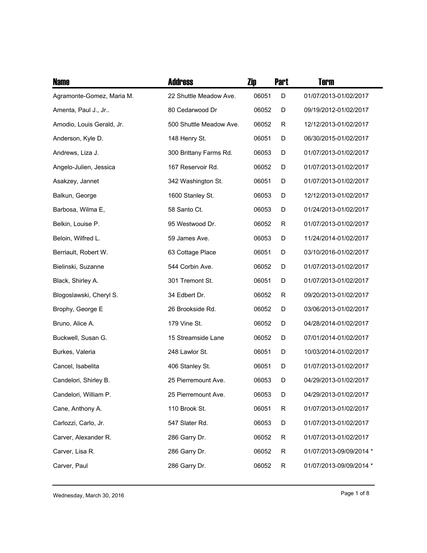| <b>Name</b>               | <b>Address</b>          | Zip   | <b>Part</b> | Term                    |
|---------------------------|-------------------------|-------|-------------|-------------------------|
| Agramonte-Gomez, Maria M. | 22 Shuttle Meadow Ave.  | 06051 | D           | 01/07/2013-01/02/2017   |
| Amenta, Paul J., Jr       | 80 Cedarwood Dr         | 06052 | D           | 09/19/2012-01/02/2017   |
| Amodio, Louis Gerald, Jr. | 500 Shuttle Meadow Ave. | 06052 | R           | 12/12/2013-01/02/2017   |
| Anderson, Kyle D.         | 148 Henry St.           | 06051 | D           | 06/30/2015-01/02/2017   |
| Andrews, Liza J.          | 300 Brittany Farms Rd.  | 06053 | D           | 01/07/2013-01/02/2017   |
| Angelo-Julien, Jessica    | 167 Reservoir Rd.       | 06052 | D           | 01/07/2013-01/02/2017   |
| Asakzey, Jannet           | 342 Washington St.      | 06051 | D           | 01/07/2013-01/02/2017   |
| Balkun, George            | 1600 Stanley St.        | 06053 | D           | 12/12/2013-01/02/2017   |
| Barbosa, Wilma E,         | 58 Santo Ct.            | 06053 | D           | 01/24/2013-01/02/2017   |
| Belkin, Louise P.         | 95 Westwood Dr.         | 06052 | R           | 01/07/2013-01/02/2017   |
| Beloin, Wilfred L.        | 59 James Ave.           | 06053 | D           | 11/24/2014-01/02/2017   |
| Berriault, Robert W.      | 63 Cottage Place        | 06051 | D           | 03/10/2016-01/02/2017   |
| Bielinski, Suzanne        | 544 Corbin Ave.         | 06052 | D           | 01/07/2013-01/02/2017   |
| Black, Shirley A.         | 301 Tremont St.         | 06051 | D           | 01/07/2013-01/02/2017   |
| Blogoslawski, Cheryl S.   | 34 Edbert Dr.           | 06052 | R           | 09/20/2013-01/02/2017   |
| Brophy, George E          | 26 Brookside Rd.        | 06052 | D           | 03/06/2013-01/02/2017   |
| Bruno, Alice A.           | 179 Vine St.            | 06052 | D           | 04/28/2014-01/02/2017   |
| Buckwell, Susan G.        | 15 Streamside Lane      | 06052 | D           | 07/01/2014-01/02/2017   |
| Burkes, Valeria           | 248 Lawlor St.          | 06051 | D           | 10/03/2014-01/02/2017   |
| Cancel, Isabelita         | 406 Stanley St.         | 06051 | D           | 01/07/2013-01/02/2017   |
| Candelori, Shirley B.     | 25 Pierremount Ave.     | 06053 | D           | 04/29/2013-01/02/2017   |
| Candelori, William P.     | 25 Pierremount Ave.     | 06053 | D           | 04/29/2013-01/02/2017   |
| Cane, Anthony A.          | 110 Brook St.           | 06051 | R           | 01/07/2013-01/02/2017   |
| Carlozzi, Carlo, Jr.      | 547 Slater Rd.          | 06053 | D           | 01/07/2013-01/02/2017   |
| Carver, Alexander R.      | 286 Garry Dr.           | 06052 | R           | 01/07/2013-01/02/2017   |
| Carver, Lisa R.           | 286 Garry Dr.           | 06052 | R           | 01/07/2013-09/09/2014 * |
| Carver, Paul              | 286 Garry Dr.           | 06052 | R           | 01/07/2013-09/09/2014 * |

Wednesday, March 30, 2016 **Page 1** of 8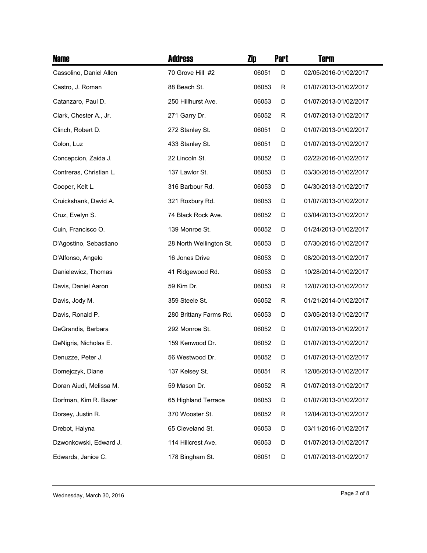| <b>Name</b>             | <b>Address</b>          | Zip   | <b>Part</b> | <b>Term</b>           |
|-------------------------|-------------------------|-------|-------------|-----------------------|
| Cassolino, Daniel Allen | 70 Grove Hill #2        | 06051 | D           | 02/05/2016-01/02/2017 |
| Castro, J. Roman        | 88 Beach St.            | 06053 | R           | 01/07/2013-01/02/2017 |
| Catanzaro, Paul D.      | 250 Hillhurst Ave.      | 06053 | D           | 01/07/2013-01/02/2017 |
| Clark, Chester A., Jr.  | 271 Garry Dr.           | 06052 | R           | 01/07/2013-01/02/2017 |
| Clinch, Robert D.       | 272 Stanley St.         | 06051 | D           | 01/07/2013-01/02/2017 |
| Colon, Luz              | 433 Stanley St.         | 06051 | D           | 01/07/2013-01/02/2017 |
| Concepcion, Zaida J.    | 22 Lincoln St.          | 06052 | D           | 02/22/2016-01/02/2017 |
| Contreras, Christian L. | 137 Lawlor St.          | 06053 | D           | 03/30/2015-01/02/2017 |
| Cooper, Kelt L.         | 316 Barbour Rd.         | 06053 | D           | 04/30/2013-01/02/2017 |
| Cruickshank, David A.   | 321 Roxbury Rd.         | 06053 | D           | 01/07/2013-01/02/2017 |
| Cruz, Evelyn S.         | 74 Black Rock Ave.      | 06052 | D           | 03/04/2013-01/02/2017 |
| Cuin, Francisco O.      | 139 Monroe St.          | 06052 | D           | 01/24/2013-01/02/2017 |
| D'Agostino, Sebastiano  | 28 North Wellington St. | 06053 | D           | 07/30/2015-01/02/2017 |
| D'Alfonso, Angelo       | 16 Jones Drive          | 06053 | D           | 08/20/2013-01/02/2017 |
| Danielewicz, Thomas     | 41 Ridgewood Rd.        | 06053 | D           | 10/28/2014-01/02/2017 |
| Davis, Daniel Aaron     | 59 Kim Dr.              | 06053 | R           | 12/07/2013-01/02/2017 |
| Davis, Jody M.          | 359 Steele St.          | 06052 | R           | 01/21/2014-01/02/2017 |
| Davis, Ronald P.        | 280 Brittany Farms Rd.  | 06053 | D           | 03/05/2013-01/02/2017 |
| DeGrandis, Barbara      | 292 Monroe St.          | 06052 | D           | 01/07/2013-01/02/2017 |
| DeNigris, Nicholas E.   | 159 Kenwood Dr.         | 06052 | D           | 01/07/2013-01/02/2017 |
| Denuzze, Peter J.       | 56 Westwood Dr.         | 06052 | D           | 01/07/2013-01/02/2017 |
| Domejczyk, Diane        | 137 Kelsey St.          | 06051 | R           | 12/06/2013-01/02/2017 |
| Doran Aiudi, Melissa M. | 59 Mason Dr.            | 06052 | R           | 01/07/2013-01/02/2017 |
| Dorfman, Kim R. Bazer   | 65 Highland Terrace     | 06053 | D           | 01/07/2013-01/02/2017 |
| Dorsey, Justin R.       | 370 Wooster St.         | 06052 | R           | 12/04/2013-01/02/2017 |
| Drebot, Halyna          | 65 Cleveland St.        | 06053 | D           | 03/11/2016-01/02/2017 |
| Dzwonkowski, Edward J.  | 114 Hillcrest Ave.      | 06053 | D           | 01/07/2013-01/02/2017 |
| Edwards, Janice C.      | 178 Bingham St.         | 06051 | D           | 01/07/2013-01/02/2017 |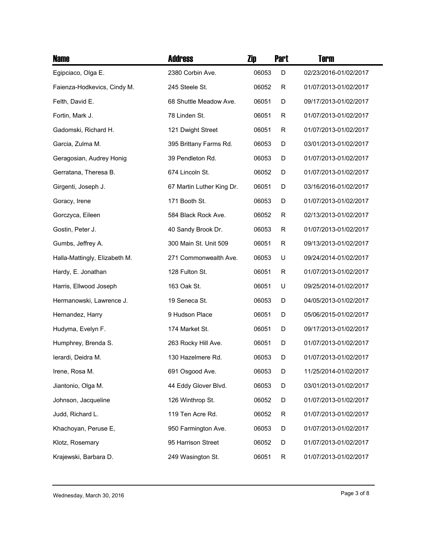| <b>Name</b>                   | <b>Address</b>            | Zip   | <b>Part</b> | <b>Term</b>           |
|-------------------------------|---------------------------|-------|-------------|-----------------------|
| Egipciaco, Olga E.            | 2380 Corbin Ave.          | 06053 | D           | 02/23/2016-01/02/2017 |
| Faienza-Hodkevics, Cindy M.   | 245 Steele St.            | 06052 | R           | 01/07/2013-01/02/2017 |
| Felth, David E.               | 68 Shuttle Meadow Ave.    | 06051 | D           | 09/17/2013-01/02/2017 |
| Fortin, Mark J.               | 78 Linden St.             | 06051 | R           | 01/07/2013-01/02/2017 |
| Gadomski, Richard H.          | 121 Dwight Street         | 06051 | R           | 01/07/2013-01/02/2017 |
| Garcia, Zulma M.              | 395 Brittany Farms Rd.    | 06053 | D           | 03/01/2013-01/02/2017 |
| Geragosian, Audrey Honig      | 39 Pendleton Rd.          | 06053 | D           | 01/07/2013-01/02/2017 |
| Gerratana, Theresa B.         | 674 Lincoln St.           | 06052 | D           | 01/07/2013-01/02/2017 |
| Girgenti, Joseph J.           | 67 Martin Luther King Dr. | 06051 | D           | 03/16/2016-01/02/2017 |
| Goracy, Irene                 | 171 Booth St.             | 06053 | D           | 01/07/2013-01/02/2017 |
| Gorczyca, Eileen              | 584 Black Rock Ave.       | 06052 | R           | 02/13/2013-01/02/2017 |
| Gostin, Peter J.              | 40 Sandy Brook Dr.        | 06053 | R           | 01/07/2013-01/02/2017 |
| Gumbs, Jeffrey A.             | 300 Main St. Unit 509     | 06051 | R           | 09/13/2013-01/02/2017 |
| Halla-Mattingly, Elizabeth M. | 271 Commonwealth Ave.     | 06053 | U           | 09/24/2014-01/02/2017 |
| Hardy, E. Jonathan            | 128 Fulton St.            | 06051 | R           | 01/07/2013-01/02/2017 |
| Harris, Ellwood Joseph        | 163 Oak St.               | 06051 | U           | 09/25/2014-01/02/2017 |
| Hermanowski, Lawrence J.      | 19 Seneca St.             | 06053 | D           | 04/05/2013-01/02/2017 |
| Hernandez, Harry              | 9 Hudson Place            | 06051 | D           | 05/06/2015-01/02/2017 |
| Hudyma, Evelyn F.             | 174 Market St.            | 06051 | D           | 09/17/2013-01/02/2017 |
| Humphrey, Brenda S.           | 263 Rocky Hill Ave.       | 06051 | D           | 01/07/2013-01/02/2017 |
| lerardi, Deidra M.            | 130 Hazelmere Rd.         | 06053 | D           | 01/07/2013-01/02/2017 |
| Irene, Rosa M.                | 691 Osgood Ave.           | 06053 | D           | 11/25/2014-01/02/2017 |
| Jiantonio, Olga M.            | 44 Eddy Glover Blvd.      | 06053 | D           | 03/01/2013-01/02/2017 |
| Johnson, Jacqueline           | 126 Winthrop St.          | 06052 | D           | 01/07/2013-01/02/2017 |
| Judd, Richard L.              | 119 Ten Acre Rd.          | 06052 | R           | 01/07/2013-01/02/2017 |
| Khachoyan, Peruse E,          | 950 Farmington Ave.       | 06053 | D           | 01/07/2013-01/02/2017 |
| Klotz, Rosemary               | 95 Harrison Street        | 06052 | D           | 01/07/2013-01/02/2017 |
| Krajewski, Barbara D.         | 249 Wasington St.         | 06051 | R           | 01/07/2013-01/02/2017 |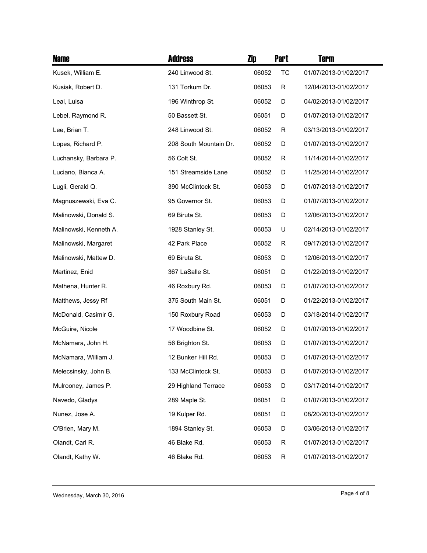| <b>Name</b>            | <b>Address</b>         | Zip   | <b>Part</b> | Term                  |
|------------------------|------------------------|-------|-------------|-----------------------|
| Kusek, William E.      | 240 Linwood St.        | 06052 | <b>TC</b>   | 01/07/2013-01/02/2017 |
| Kusiak, Robert D.      | 131 Torkum Dr.         | 06053 | R           | 12/04/2013-01/02/2017 |
| Leal, Luisa            | 196 Winthrop St.       | 06052 | D           | 04/02/2013-01/02/2017 |
| Lebel, Raymond R.      | 50 Bassett St.         | 06051 | D           | 01/07/2013-01/02/2017 |
| Lee, Brian T.          | 248 Linwood St.        | 06052 | R           | 03/13/2013-01/02/2017 |
| Lopes, Richard P.      | 208 South Mountain Dr. | 06052 | D           | 01/07/2013-01/02/2017 |
| Luchansky, Barbara P.  | 56 Colt St.            | 06052 | R           | 11/14/2014-01/02/2017 |
| Luciano, Bianca A.     | 151 Streamside Lane    | 06052 | D           | 11/25/2014-01/02/2017 |
| Lugli, Gerald Q.       | 390 McClintock St.     | 06053 | D           | 01/07/2013-01/02/2017 |
| Magnuszewski, Eva C.   | 95 Governor St.        | 06053 | D           | 01/07/2013-01/02/2017 |
| Malinowski, Donald S.  | 69 Biruta St.          | 06053 | D           | 12/06/2013-01/02/2017 |
| Malinowski, Kenneth A. | 1928 Stanley St.       | 06053 | U           | 02/14/2013-01/02/2017 |
| Malinowski, Margaret   | 42 Park Place          | 06052 | R           | 09/17/2013-01/02/2017 |
| Malinowski, Mattew D.  | 69 Biruta St.          | 06053 | D           | 12/06/2013-01/02/2017 |
| Martinez, Enid         | 367 LaSalle St.        | 06051 | D           | 01/22/2013-01/02/2017 |
| Mathena, Hunter R.     | 46 Roxbury Rd.         | 06053 | D           | 01/07/2013-01/02/2017 |
| Matthews, Jessy Rf     | 375 South Main St.     | 06051 | D           | 01/22/2013-01/02/2017 |
| McDonald, Casimir G.   | 150 Roxbury Road       | 06053 | D           | 03/18/2014-01/02/2017 |
| McGuire, Nicole        | 17 Woodbine St.        | 06052 | D           | 01/07/2013-01/02/2017 |
| McNamara, John H.      | 56 Brighton St.        | 06053 | D           | 01/07/2013-01/02/2017 |
| McNamara, William J.   | 12 Bunker Hill Rd.     | 06053 | D           | 01/07/2013-01/02/2017 |
| Melecsinsky, John B.   | 133 McClintock St.     | 06053 | D           | 01/07/2013-01/02/2017 |
| Mulrooney, James P.    | 29 Highland Terrace    | 06053 | D           | 03/17/2014-01/02/2017 |
| Navedo, Gladys         | 289 Maple St.          | 06051 | D           | 01/07/2013-01/02/2017 |
| Nunez, Jose A.         | 19 Kulper Rd.          | 06051 | D           | 08/20/2013-01/02/2017 |
| O'Brien, Mary M.       | 1894 Stanley St.       | 06053 | D           | 03/06/2013-01/02/2017 |
| Olandt, Carl R.        | 46 Blake Rd.           | 06053 | R           | 01/07/2013-01/02/2017 |
| Olandt, Kathy W.       | 46 Blake Rd.           | 06053 | R           | 01/07/2013-01/02/2017 |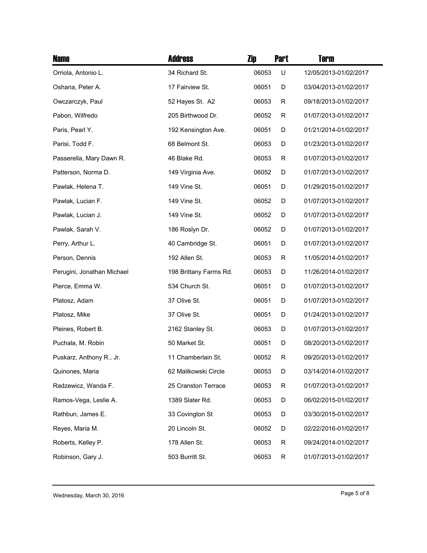| <b>Name</b>                | <b>Address</b>         | Zip   | <b>Part</b> | <b>Term</b>           |
|----------------------------|------------------------|-------|-------------|-----------------------|
| Orriola, Antonio L.        | 34 Richard St.         | 06053 | U           | 12/05/2013-01/02/2017 |
| Oshana, Peter A.           | 17 Fairview St.        | 06051 | D           | 03/04/2013-01/02/2017 |
| Owczarczyk, Paul           | 52 Hayes St. A2        | 06053 | R           | 09/18/2013-01/02/2017 |
| Pabon, Wilfredo            | 205 Birthwood Dr.      | 06052 | R           | 01/07/2013-01/02/2017 |
| Paris, Pearl Y.            | 192 Kensington Ave.    | 06051 | D           | 01/21/2014-01/02/2017 |
| Parisi, Todd F.            | 68 Belmont St.         | 06053 | D           | 01/23/2013-01/02/2017 |
| Passerella, Mary Dawn R.   | 46 Blake Rd.           | 06053 | R           | 01/07/2013-01/02/2017 |
| Patterson, Norma D.        | 149 Virginia Ave.      | 06052 | D           | 01/07/2013-01/02/2017 |
| Pawlak, Helena T.          | 149 Vine St.           | 06051 | D           | 01/29/2015-01/02/2017 |
| Pawlak, Lucian F.          | 149 Vine St.           | 06052 | D           | 01/07/2013-01/02/2017 |
| Pawlak, Lucian J.          | 149 Vine St.           | 06052 | D           | 01/07/2013-01/02/2017 |
| Pawlak, Sarah V.           | 186 Roslyn Dr.         | 06052 | D           | 01/07/2013-01/02/2017 |
| Perry, Arthur L.           | 40 Cambridge St.       | 06051 | D           | 01/07/2013-01/02/2017 |
| Person, Dennis             | 192 Allen St.          | 06053 | R           | 11/05/2014-01/02/2017 |
| Perugini, Jonathan Michael | 198 Brittany Farms Rd. | 06053 | D           | 11/26/2014-01/02/2017 |
| Pierce, Emma W.            | 534 Church St.         | 06051 | D           | 01/07/2013-01/02/2017 |
| Platosz, Adam              | 37 Olive St.           | 06051 | D           | 01/07/2013-01/02/2017 |
| Platosz, Mike              | 37 Olive St.           | 06051 | D           | 01/24/2013-01/02/2017 |
| Pleines, Robert B.         | 2162 Stanley St.       | 06053 | D           | 01/07/2013-01/02/2017 |
| Puchala, M. Robin          | 50 Market St.          | 06051 | D           | 08/20/2013-01/02/2017 |
| Puskarz, Anthony R., Jr.   | 11 Chamberlain St.     | 06052 | R           | 09/20/2013-01/02/2017 |
| Quinones, Maria            | 62 Malikowski Circle   | 06053 | D           | 03/14/2014-01/02/2017 |
| Radzewicz, Wanda F.        | 25 Cranston Terrace    | 06053 | $\mathsf R$ | 01/07/2013-01/02/2017 |
| Ramos-Vega, Leslie A.      | 1389 Slater Rd.        | 06053 | D           | 06/02/2015-01/02/2017 |
| Rathbun, James E.          | 33 Covington St        | 06053 | D           | 03/30/2015-01/02/2017 |
| Reyes, Maria M.            | 20 Lincoln St.         | 06052 | D           | 02/22/2016-01/02/2017 |
| Roberts, Kelley P.         | 178 Allen St.          | 06053 | R           | 09/24/2014-01/02/2017 |
| Robinson, Gary J.          | 503 Burritt St.        | 06053 | R           | 01/07/2013-01/02/2017 |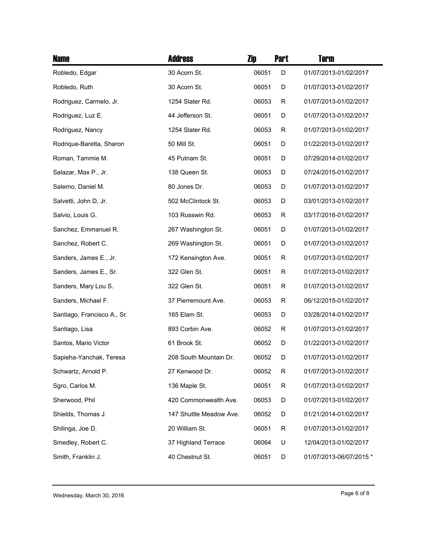| <b>Name</b>                 | <b>Address</b>          | Zip   | <b>Part</b> | <b>Term</b>             |
|-----------------------------|-------------------------|-------|-------------|-------------------------|
| Robledo, Edgar              | 30 Acorn St.            | 06051 | D           | 01/07/2013-01/02/2017   |
| Robledo, Ruth               | 30 Acorn St.            | 06051 | D           | 01/07/2013-01/02/2017   |
| Rodriguez, Carmelo, Jr.     | 1254 Slater Rd.         | 06053 | R           | 01/07/2013-01/02/2017   |
| Rodriguez, Luz E.           | 44 Jefferson St.        | 06051 | D           | 01/07/2013-01/02/2017   |
| Rodriguez, Nancy            | 1254 Slater Rd.         | 06053 | R           | 01/07/2013-01/02/2017   |
| Rodrique-Baretta, Sharon    | 50 Mill St.             | 06051 | D           | 01/22/2013-01/02/2017   |
| Roman, Tammie M.            | 45 Putnam St.           | 06051 | D           | 07/29/2014-01/02/2017   |
| Salazar, Max P., Jr.        | 138 Queen St.           | 06053 | D           | 07/24/2015-01/02/2017   |
| Salerno, Daniel M.          | 80 Jones Dr.            | 06053 | D           | 01/07/2013-01/02/2017   |
| Salvetti, John D, Jr.       | 502 McClintock St.      | 06053 | D           | 03/01/2013-01/02/2017   |
| Salvio, Louis G.            | 103 Russwin Rd.         | 06053 | R           | 03/17/2016-01/02/2017   |
| Sanchez, Emmanuel R.        | 267 Washington St.      | 06051 | D           | 01/07/2013-01/02/2017   |
| Sanchez, Robert C.          | 269 Washington St.      | 06051 | D           | 01/07/2013-01/02/2017   |
| Sanders, James E., Jr.      | 172 Kensington Ave.     | 06051 | R           | 01/07/2013-01/02/2017   |
| Sanders, James E., Sr.      | 322 Glen St.            | 06051 | R           | 01/07/2013-01/02/2017   |
| Sanders, Mary Lou S.        | 322 Glen St.            | 06051 | R           | 01/07/2013-01/02/2017   |
| Sanders, Michael F.         | 37 Pierremount Ave.     | 06053 | R           | 06/12/2015-01/02/2017   |
| Santiago, Francisco A., Sr. | 165 Elam St.            | 06053 | D           | 03/28/2014-01/02/2017   |
| Santiago, Lisa              | 893 Corbin Ave.         | 06052 | R           | 01/07/2013-01/02/2017   |
| Santos, Mario Victor        | 61 Brook St.            | 06052 | D           | 01/22/2013-01/02/2017   |
| Sapieha-Yanchak, Teresa     | 208 South Mountain Dr.  | 06052 | D           | 01/07/2013-01/02/2017   |
| Schwartz, Arnold P.         | 27 Kenwood Dr.          | 06052 | R           | 01/07/2013-01/02/2017   |
| Sgro, Carlos M.             | 136 Maple St.           | 06051 | $\mathsf R$ | 01/07/2013-01/02/2017   |
| Sherwood, Phil              | 420 Commonwealth Ave.   | 06053 | D           | 01/07/2013-01/02/2017   |
| Shields, Thomas J.          | 147 Shuttle Meadow Ave. | 06052 | D           | 01/21/2014-01/02/2017   |
| Shilinga, Joe D.            | 20 William St.          | 06051 | R           | 01/07/2013-01/02/2017   |
| Smedley, Robert C.          | 37 Highland Terrace     | 06064 | U           | 12/04/2013-01/02/2017   |
| Smith, Franklin J.          | 40 Chestnut St.         | 06051 | D           | 01/07/2013-06/07/2015 * |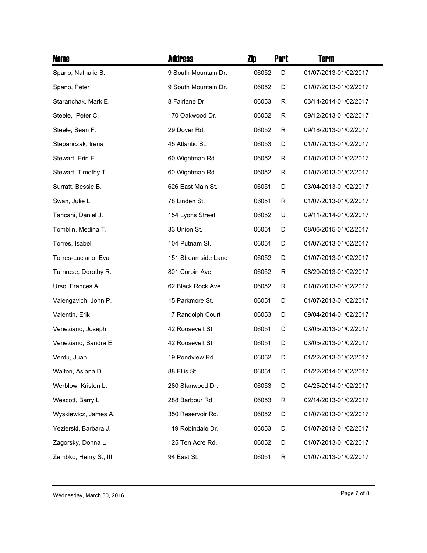| <b>Name</b>           | <b>Address</b>       | Zip   | <b>Part</b> | <b>Term</b>           |
|-----------------------|----------------------|-------|-------------|-----------------------|
| Spano, Nathalie B.    | 9 South Mountain Dr. | 06052 | D           | 01/07/2013-01/02/2017 |
| Spano, Peter          | 9 South Mountain Dr. | 06052 | D           | 01/07/2013-01/02/2017 |
| Staranchak, Mark E.   | 8 Fairlane Dr.       | 06053 | R           | 03/14/2014-01/02/2017 |
| Steele, Peter C.      | 170 Oakwood Dr.      | 06052 | R           | 09/12/2013-01/02/2017 |
| Steele, Sean F.       | 29 Dover Rd.         | 06052 | R           | 09/18/2013-01/02/2017 |
| Stepanczak, Irena     | 45 Atlantic St.      | 06053 | D           | 01/07/2013-01/02/2017 |
| Stewart, Erin E.      | 60 Wightman Rd.      | 06052 | R           | 01/07/2013-01/02/2017 |
| Stewart, Timothy T.   | 60 Wightman Rd.      | 06052 | R           | 01/07/2013-01/02/2017 |
| Surratt, Bessie B.    | 626 East Main St.    | 06051 | D           | 03/04/2013-01/02/2017 |
| Swan, Julie L.        | 78 Linden St.        | 06051 | R           | 01/07/2013-01/02/2017 |
| Taricani, Daniel J.   | 154 Lyons Street     | 06052 | U           | 09/11/2014-01/02/2017 |
| Tomblin, Medina T.    | 33 Union St.         | 06051 | D           | 08/06/2015-01/02/2017 |
| Torres, Isabel        | 104 Putnam St.       | 06051 | D           | 01/07/2013-01/02/2017 |
| Torres-Luciano, Eva   | 151 Streamside Lane  | 06052 | D           | 01/07/2013-01/02/2017 |
| Turnrose, Dorothy R.  | 801 Corbin Ave.      | 06052 | R           | 08/20/2013-01/02/2017 |
| Urso, Frances A.      | 62 Black Rock Ave.   | 06052 | R           | 01/07/2013-01/02/2017 |
| Valengavich, John P.  | 15 Parkmore St.      | 06051 | D           | 01/07/2013-01/02/2017 |
| Valentin, Erik        | 17 Randolph Court    | 06053 | D           | 09/04/2014-01/02/2017 |
| Veneziano, Joseph     | 42 Roosevelt St.     | 06051 | D           | 03/05/2013-01/02/2017 |
| Veneziano, Sandra E.  | 42 Roosevelt St.     | 06051 | D           | 03/05/2013-01/02/2017 |
| Verdu, Juan           | 19 Pondview Rd.      | 06052 | D           | 01/22/2013-01/02/2017 |
| Walton, Asiana D.     | 88 Ellis St.         | 06051 | D           | 01/22/2014-01/02/2017 |
| Werblow, Kristen L.   | 280 Stanwood Dr.     | 06053 | D           | 04/25/2014-01/02/2017 |
| Wescott, Barry L.     | 288 Barbour Rd.      | 06053 | R           | 02/14/2013-01/02/2017 |
| Wyskiewicz, James A.  | 350 Reservoir Rd.    | 06052 | D           | 01/07/2013-01/02/2017 |
| Yezierski, Barbara J. | 119 Robindale Dr.    | 06053 | D           | 01/07/2013-01/02/2017 |
| Zagorsky, Donna L     | 125 Ten Acre Rd.     | 06052 | D           | 01/07/2013-01/02/2017 |
| Zembko, Henry S., III | 94 East St.          | 06051 | R           | 01/07/2013-01/02/2017 |